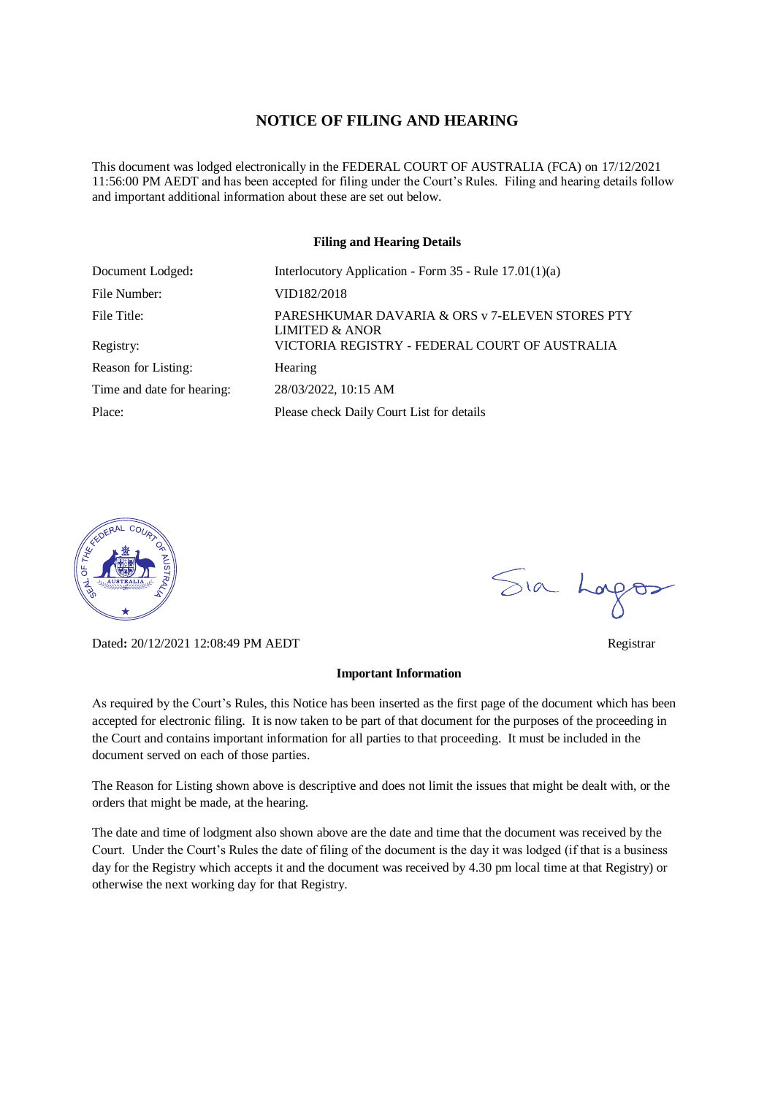#### **NOTICE OF FILING AND HEARING**

This document was lodged electronically in the FEDERAL COURT OF AUSTRALIA (FCA) on 17/12/2021 11:56:00 PM AEDT and has been accepted for filing under the Court's Rules. Filing and hearing details follow and important additional information about these are set out below.

#### **Filing and Hearing Details**

| Document Lodged:           | Interlocutory Application - Form $35$ - Rule $17.01(1)(a)$                   |
|----------------------------|------------------------------------------------------------------------------|
| File Number:               | VID182/2018                                                                  |
| File Title:                | PARESHKUMAR DAVARIA & ORS v 7-ELEVEN STORES PTY<br><b>LIMITED &amp; ANOR</b> |
| Registry:                  | VICTORIA REGISTRY - FEDERAL COURT OF AUSTRALIA                               |
| Reason for Listing:        | Hearing                                                                      |
| Time and date for hearing: | 28/03/2022, 10:15 AM                                                         |
| Place:                     | Please check Daily Court List for details                                    |



Dated**:** 20/12/2021 12:08:49 PM AEDT Registrar

#### **Important Information**

As required by the Court's Rules, this Notice has been inserted as the first page of the document which has been accepted for electronic filing. It is now taken to be part of that document for the purposes of the proceeding in the Court and contains important information for all parties to that proceeding. It must be included in the document served on each of those parties.

The Reason for Listing shown above is descriptive and does not limit the issues that might be dealt with, or the orders that might be made, at the hearing.

The date and time of lodgment also shown above are the date and time that the document was received by the Court. Under the Court's Rules the date of filing of the document is the day it was lodged (if that is a business day for the Registry which accepts it and the document was received by 4.30 pm local time at that Registry) or otherwise the next working day for that Registry.

Sia Logos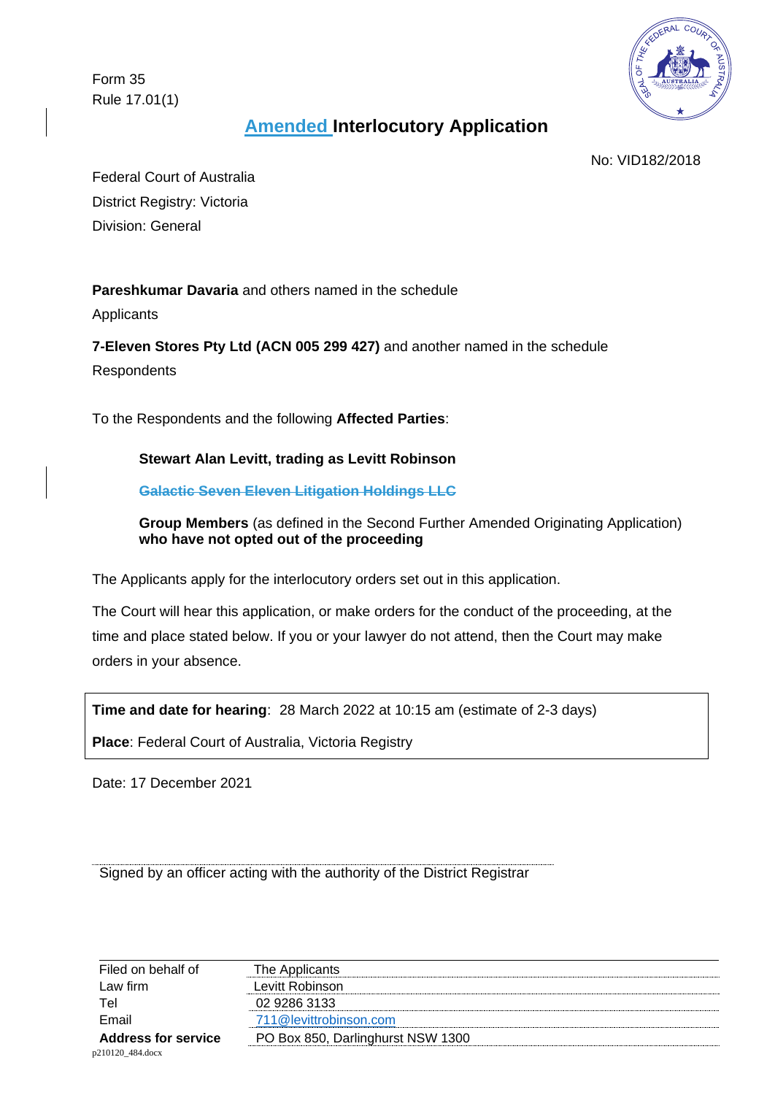Form 35 Rule 17.01(1)



# **Amended Interlocutory Application**

No: VID182/2018

Federal Court of Australia District Registry: Victoria Division: General

**Pareshkumar Davaria** and others named in the schedule

Applicants

**7-Eleven Stores Pty Ltd (ACN 005 299 427)** and another named in the schedule **Respondents** 

To the Respondents and the following **Affected Parties**:

## **Stewart Alan Levitt, trading as Levitt Robinson**

**Galactic Seven Eleven Litigation Holdings LLC** 

**Group Members** (as defined in the Second Further Amended Originating Application) **who have not opted out of the proceeding** 

The Applicants apply for the interlocutory orders set out in this application.

The Court will hear this application, or make orders for the conduct of the proceeding, at the time and place stated below. If you or your lawyer do not attend, then the Court may make orders in your absence.

**Time and date for hearing**: 28 March 2022 at 10:15 am (estimate of 2-3 days)

**Place**: Federal Court of Australia, Victoria Registry

Date: 17 December 2021

Signed by an officer acting with the authority of the District Registrar

| Filed on behalf of         | The Applicants                    |
|----------------------------|-----------------------------------|
| Law firm                   | Levitt Robinson                   |
| Tel                        | 02 9286 3133                      |
| Email                      | 711@levittrobinson.com            |
| <b>Address for service</b> | PO Box 850, Darlinghurst NSW 1300 |
| n210120 484 docx           |                                   |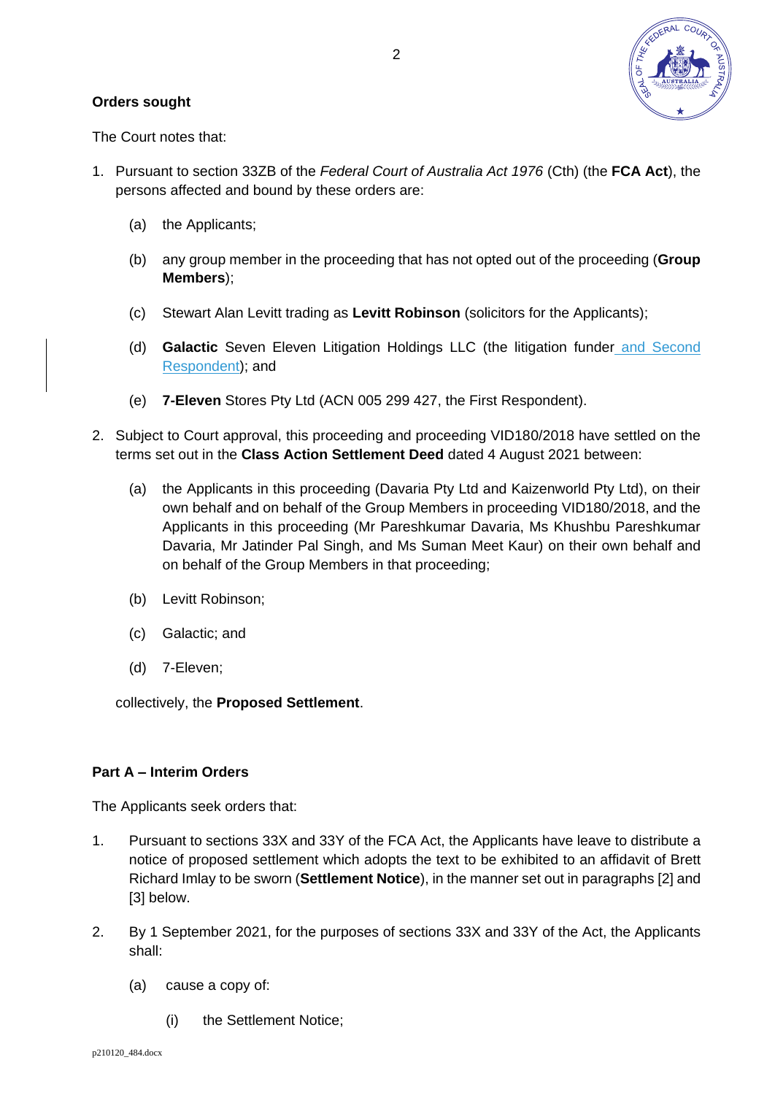

#### **Orders sought**

The Court notes that:

- 1. Pursuant to section 33ZB of the *Federal Court of Australia Act 1976* (Cth) (the **FCA Act**), the persons affected and bound by these orders are:
	- (a) the Applicants;
	- (b) any group member in the proceeding that has not opted out of the proceeding (**Group Members**);
	- (c) Stewart Alan Levitt trading as **Levitt Robinson** (solicitors for the Applicants);
	- (d) **Galactic** Seven Eleven Litigation Holdings LLC (the litigation funder and Second Respondent); and
	- (e) **7-Eleven** Stores Pty Ltd (ACN 005 299 427, the First Respondent).
- 2. Subject to Court approval, this proceeding and proceeding VID180/2018 have settled on the terms set out in the **Class Action Settlement Deed** dated 4 August 2021 between:
	- (a) the Applicants in this proceeding (Davaria Pty Ltd and Kaizenworld Pty Ltd), on their own behalf and on behalf of the Group Members in proceeding VID180/2018, and the Applicants in this proceeding (Mr Pareshkumar Davaria, Ms Khushbu Pareshkumar Davaria, Mr Jatinder Pal Singh, and Ms Suman Meet Kaur) on their own behalf and on behalf of the Group Members in that proceeding;
	- (b) Levitt Robinson;
	- (c) Galactic; and
	- (d) 7-Eleven;

collectively, the **Proposed Settlement**.

### **Part A – Interim Orders**

The Applicants seek orders that:

- 1. Pursuant to sections 33X and 33Y of the FCA Act, the Applicants have leave to distribute a notice of proposed settlement which adopts the text to be exhibited to an affidavit of Brett Richard Imlay to be sworn (**Settlement Notice**), in the manner set out in paragraphs [\[2\]](#page-2-0) and [\[3\]](#page-4-0) below.
- <span id="page-2-0"></span>2. By 1 September 2021, for the purposes of sections 33X and 33Y of the Act, the Applicants shall:
	- (a) cause a copy of:
		- (i) the Settlement Notice;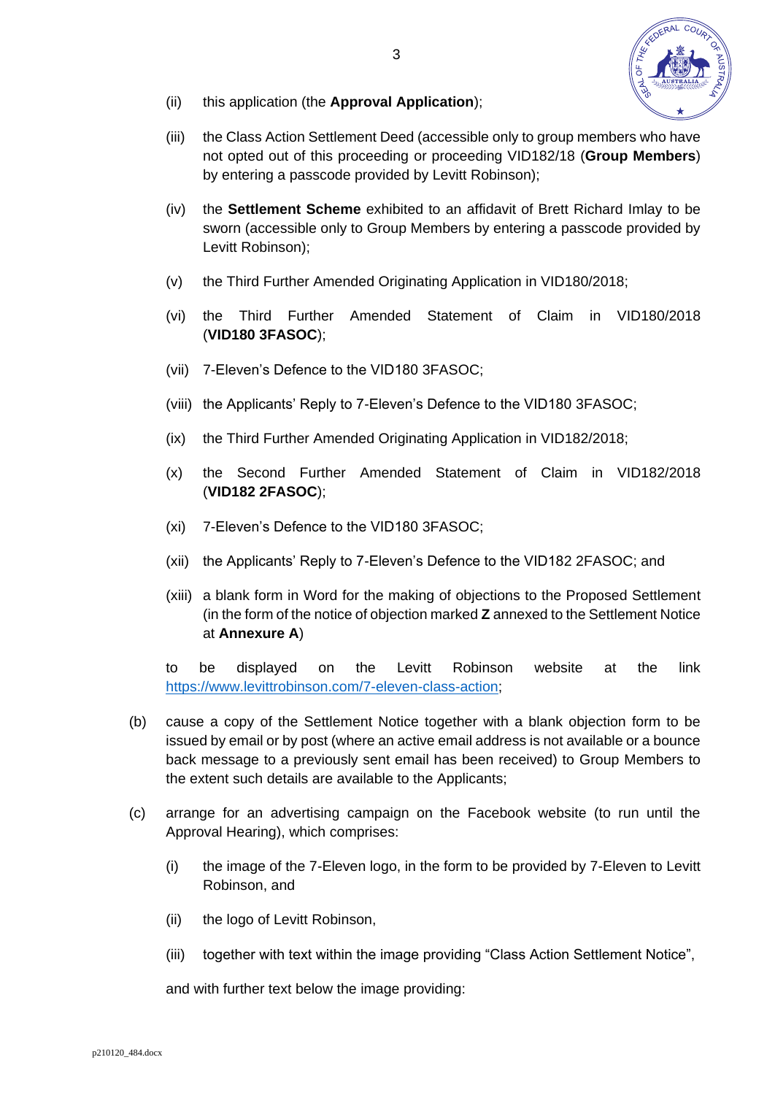

- (ii) this application (the **Approval Application**);
- (iii) the Class Action Settlement Deed (accessible only to group members who have not opted out of this proceeding or proceeding VID182/18 (**Group Members**) by entering a passcode provided by Levitt Robinson);
- (iv) the **Settlement Scheme** exhibited to an affidavit of Brett Richard Imlay to be sworn (accessible only to Group Members by entering a passcode provided by Levitt Robinson);
- (v) the Third Further Amended Originating Application in VID180/2018;
- (vi) the Third Further Amended Statement of Claim in VID180/2018 (**VID180 3FASOC**);
- (vii) 7-Eleven's Defence to the VID180 3FASOC;
- (viii) the Applicants' Reply to 7-Eleven's Defence to the VID180 3FASOC;
- (ix) the Third Further Amended Originating Application in VID182/2018;
- (x) the Second Further Amended Statement of Claim in VID182/2018 (**VID182 2FASOC**);
- (xi) 7-Eleven's Defence to the VID180 3FASOC;
- (xii) the Applicants' Reply to 7-Eleven's Defence to the VID182 2FASOC; and
- (xiii) a blank form in Word for the making of objections to the Proposed Settlement (in the form of the notice of objection marked **Z** annexed to the Settlement Notice at **Annexure A**)

to be displayed on the Levitt Robinson website at the link [https://www.levittrobinson.com/7-eleven-class-action;](https://www.levittrobinson.com/7-eleven-class-action)

- (b) cause a copy of the Settlement Notice together with a blank objection form to be issued by email or by post (where an active email address is not available or a bounce back message to a previously sent email has been received) to Group Members to the extent such details are available to the Applicants;
- (c) arrange for an advertising campaign on the Facebook website (to run until the Approval Hearing), which comprises:
	- (i) the image of the 7-Eleven logo, in the form to be provided by 7-Eleven to Levitt Robinson, and
	- (ii) the logo of Levitt Robinson,
	- (iii) together with text within the image providing "Class Action Settlement Notice",

and with further text below the image providing: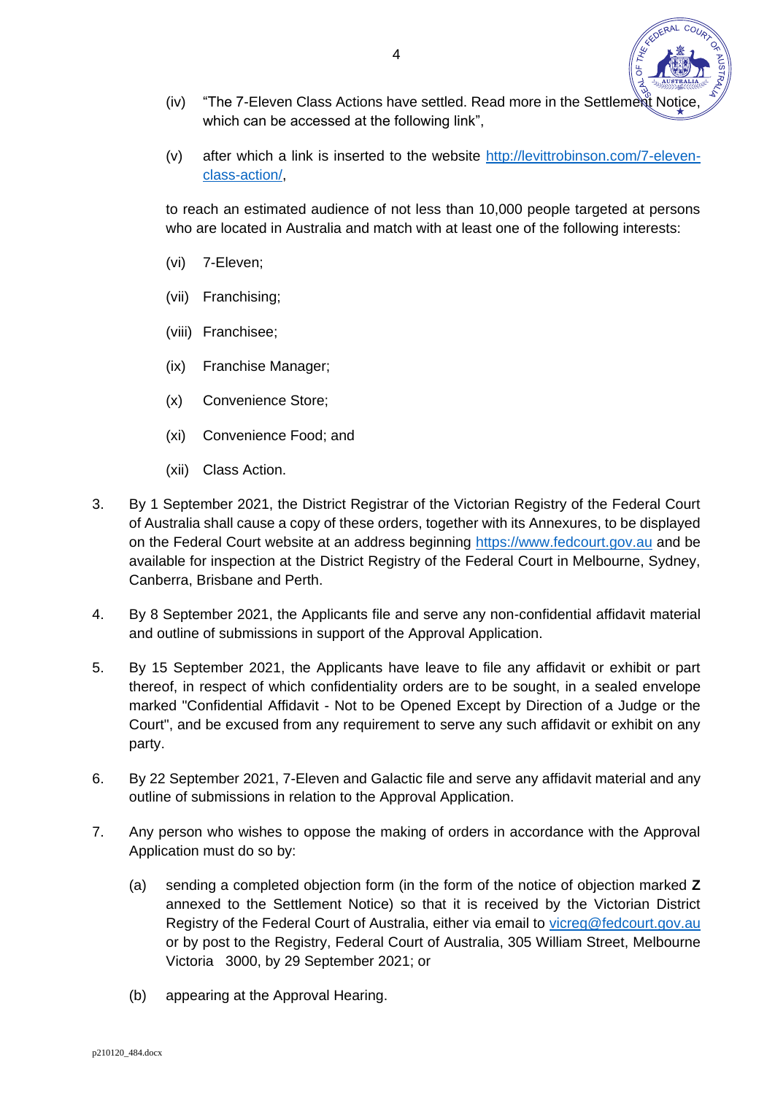- (iv) "The 7-Eleven Class Actions have settled. Read more in the Settlement Notice, which can be accessed at the following link".
- (v) after which a link is inserted to the website [http://levittrobinson.com/7-eleven](http://levittrobinson.com/7-eleven-class-action/)[class-action/,](http://levittrobinson.com/7-eleven-class-action/)

to reach an estimated audience of not less than 10,000 people targeted at persons who are located in Australia and match with at least one of the following interests:

- (vi) 7-Eleven;
- (vii) Franchising;
- (viii) Franchisee;
- (ix) Franchise Manager;
- (x) Convenience Store;
- (xi) Convenience Food; and
- (xii) Class Action.
- <span id="page-4-0"></span>3. By 1 September 2021, the District Registrar of the Victorian Registry of the Federal Court of Australia shall cause a copy of these orders, together with its Annexures, to be displayed on the Federal Court website at an address beginning [https://www.fedcourt.gov.au](https://www.fedcourt.gov.au/) and be available for inspection at the District Registry of the Federal Court in Melbourne, Sydney, Canberra, Brisbane and Perth.
- 4. By 8 September 2021, the Applicants file and serve any non-confidential affidavit material and outline of submissions in support of the Approval Application.
- 5. By 15 September 2021, the Applicants have leave to file any affidavit or exhibit or part thereof, in respect of which confidentiality orders are to be sought, in a sealed envelope marked "Confidential Affidavit - Not to be Opened Except by Direction of a Judge or the Court", and be excused from any requirement to serve any such affidavit or exhibit on any party.
- 6. By 22 September 2021, 7-Eleven and Galactic file and serve any affidavit material and any outline of submissions in relation to the Approval Application.
- 7. Any person who wishes to oppose the making of orders in accordance with the Approval Application must do so by:
	- (a) sending a completed objection form (in the form of the notice of objection marked **Z** annexed to the Settlement Notice) so that it is received by the Victorian District Registry of the Federal Court of Australia, either via email to [vicreg@fedcourt.gov.au](mailto:vicreg@fedcourt.gov.au) or by post to the Registry, Federal Court of Australia, 305 William Street, Melbourne Victoria 3000, by 29 September 2021; or
	- (b) appearing at the Approval Hearing.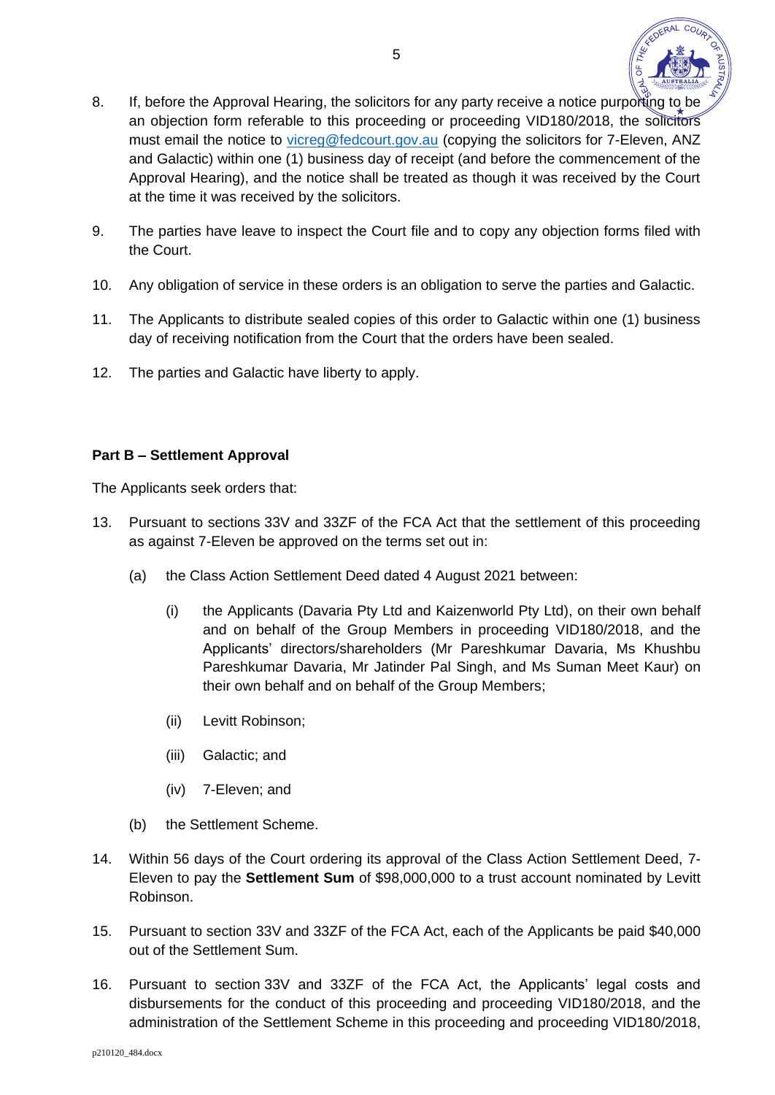

- 8. If, before the Approval Hearing, the solicitors for any party receive a notice purporting to be an objection form referable to this proceeding or proceeding VID180/2018, the solicitors must email the notice to [vicreg@fedcourt.gov.au](mailto:vicreg@fedcourt.gov.au) (copying the solicitors for 7-Eleven, ANZ and Galactic) within one (1) business day of receipt (and before the commencement of the Approval Hearing), and the notice shall be treated as though it was received by the Court at the time it was received by the solicitors.
- 9. The parties have leave to inspect the Court file and to copy any objection forms filed with the Court.
- 10. Any obligation of service in these orders is an obligation to serve the parties and Galactic.
- 11. The Applicants to distribute sealed copies of this order to Galactic within one (1) business day of receiving notification from the Court that the orders have been sealed.
- 12. The parties and Galactic have liberty to apply.

### **Part B – Settlement Approval**

The Applicants seek orders that:

- 13. Pursuant to sections 33V and 33ZF of the FCA Act that the settlement of this proceeding as against 7-Eleven be approved on the terms set out in:
	- (a) the Class Action Settlement Deed dated 4 August 2021 between:
		- (i) the Applicants (Davaria Pty Ltd and Kaizenworld Pty Ltd), on their own behalf and on behalf of the Group Members in proceeding VID180/2018, and the Applicants' directors/shareholders (Mr Pareshkumar Davaria, Ms Khushbu Pareshkumar Davaria, Mr Jatinder Pal Singh, and Ms Suman Meet Kaur) on their own behalf and on behalf of the Group Members;
		- (ii) Levitt Robinson;
		- (iii) Galactic; and
		- (iv) 7-Eleven; and
	- (b) the Settlement Scheme.
- 14. Within 56 days of the Court ordering its approval of the Class Action Settlement Deed, 7- Eleven to pay the **Settlement Sum** of \$98,000,000 to a trust account nominated by Levitt Robinson.
- 15. Pursuant to section 33V and 33ZF of the FCA Act, each of the Applicants be paid \$40,000 out of the Settlement Sum.
- 16. Pursuant to section 33V and 33ZF of the FCA Act, the Applicants' legal costs and disbursements for the conduct of this proceeding and proceeding VID180/2018, and the administration of the Settlement Scheme in this proceeding and proceeding VID180/2018,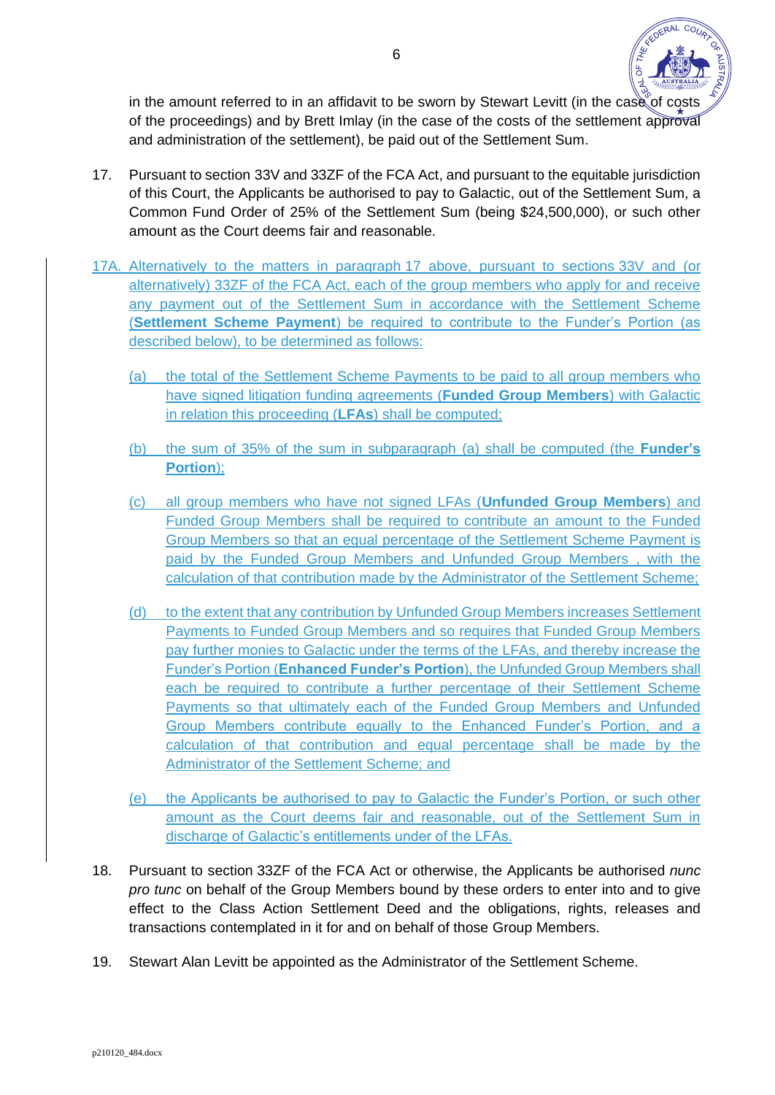

in the amount referred to in an affidavit to be sworn by Stewart Levitt (in the case of costs of the proceedings) and by Brett Imlay (in the case of the costs of the settlement approval and administration of the settlement), be paid out of the Settlement Sum.

- 17. Pursuant to section 33V and 33ZF of the FCA Act, and pursuant to the equitable jurisdiction of this Court, the Applicants be authorised to pay to Galactic, out of the Settlement Sum, a Common Fund Order of 25% of the Settlement Sum (being \$24,500,000), or such other amount as the Court deems fair and reasonable.
- 17A. Alternatively to the matters in paragraph 17 above, pursuant to sections 33V and (or alternatively) 33ZF of the FCA Act, each of the group members who apply for and receive any payment out of the Settlement Sum in accordance with the Settlement Scheme (**Settlement Scheme Payment**) be required to contribute to the Funder's Portion (as described below), to be determined as follows:
	- (a) the total of the Settlement Scheme Payments to be paid to all group members who have signed litigation funding agreements (**Funded Group Members**) with Galactic in relation this proceeding (**LFAs**) shall be computed;
	- (b) the sum of 35% of the sum in subparagraph (a) shall be computed (the **Funder's Portion**);
	- (c) all group members who have not signed LFAs (**Unfunded Group Members**) and Funded Group Members shall be required to contribute an amount to the Funded Group Members so that an equal percentage of the Settlement Scheme Payment is paid by the Funded Group Members and Unfunded Group Members , with the calculation of that contribution made by the Administrator of the Settlement Scheme;
	- (d) to the extent that any contribution by Unfunded Group Members increases Settlement Payments to Funded Group Members and so requires that Funded Group Members pay further monies to Galactic under the terms of the LFAs, and thereby increase the Funder's Portion (**Enhanced Funder's Portion**), the Unfunded Group Members shall each be required to contribute a further percentage of their Settlement Scheme Payments so that ultimately each of the Funded Group Members and Unfunded Group Members contribute equally to the Enhanced Funder's Portion, and a calculation of that contribution and equal percentage shall be made by the Administrator of the Settlement Scheme; and
	- (e) the Applicants be authorised to pay to Galactic the Funder's Portion, or such other amount as the Court deems fair and reasonable, out of the Settlement Sum in discharge of Galactic's entitlements under of the LFAs.
- 18. Pursuant to section 33ZF of the FCA Act or otherwise, the Applicants be authorised *nunc pro tunc* on behalf of the Group Members bound by these orders to enter into and to give effect to the Class Action Settlement Deed and the obligations, rights, releases and transactions contemplated in it for and on behalf of those Group Members.
- 19. Stewart Alan Levitt be appointed as the Administrator of the Settlement Scheme.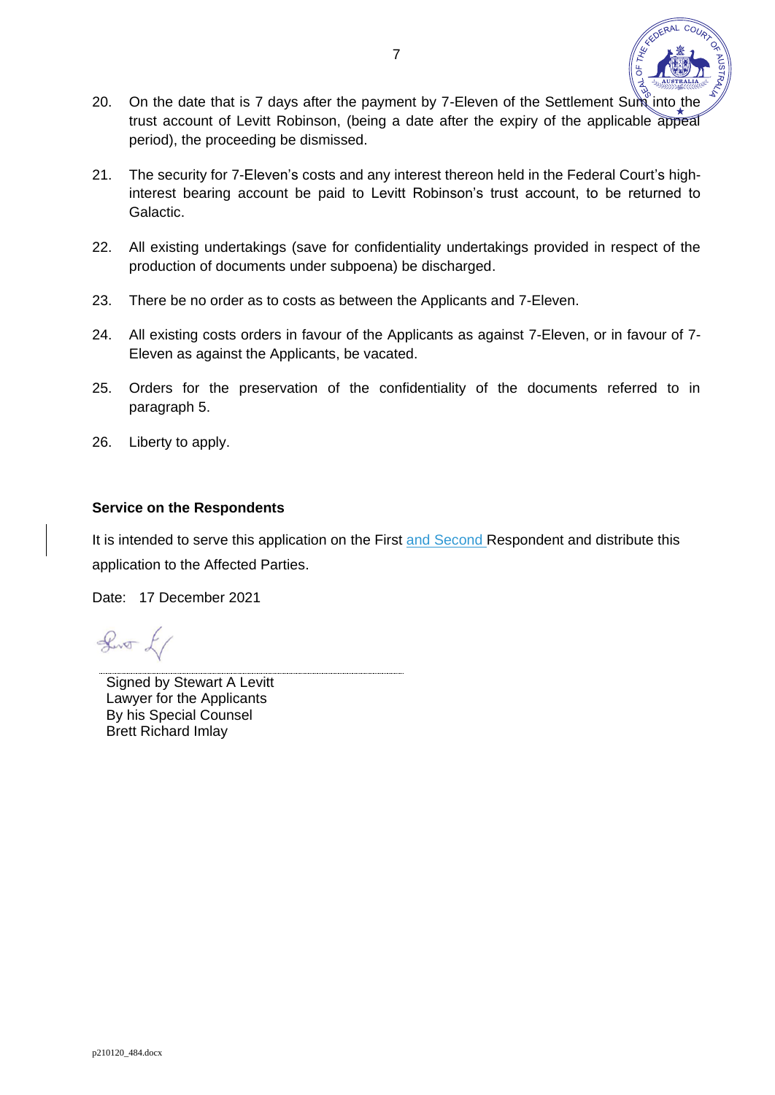

- 20. On the date that is 7 days after the payment by 7-Eleven of the Settlement Sum into the trust account of Levitt Robinson, (being a date after the expiry of the applicable appeal period), the proceeding be dismissed.
- 21. The security for 7-Eleven's costs and any interest thereon held in the Federal Court's highinterest bearing account be paid to Levitt Robinson's trust account, to be returned to Galactic.
- 22. All existing undertakings (save for confidentiality undertakings provided in respect of the production of documents under subpoena) be discharged.
- 23. There be no order as to costs as between the Applicants and 7-Eleven.
- 24. All existing costs orders in favour of the Applicants as against 7-Eleven, or in favour of 7- Eleven as against the Applicants, be vacated.
- 25. Orders for the preservation of the confidentiality of the documents referred to in paragraph 5.
- 26. Liberty to apply.

### **Service on the Respondents**

It is intended to serve this application on the First and Second Respondent and distribute this application to the Affected Parties.

Date: 17 December 2021

 $\sqrt{2}$ 

Signed by Stewart A Levitt Lawyer for the Applicants By his Special Counsel Brett Richard Imlay